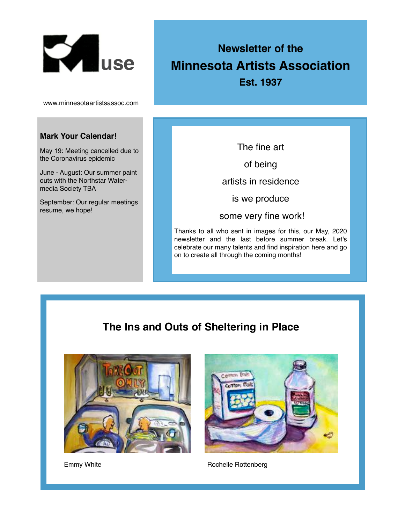

www.minnesotaartistsassoc.com

#### **Mark Your Calendar!**

May 19: Meeting cancelled due to the Coronavirus epidemic

June - August: Our summer paint outs with the Northstar Watermedia Society TBA

September: Our regular meetings resume, we hope!

# **Newsletter of the Minnesota Artists Association**

**Est. 1937**

The fine art

of being

artists in residence

is we produce

some very fine work!

Thanks to all who sent in images for this, our May, 2020 newsletter and the last before summer break. Let's celebrate our many talents and find inspiration here and go on to create all through the coming months!

## **The Ins and Outs of Sheltering in Place**



Emmy White



Rochelle Rottenberg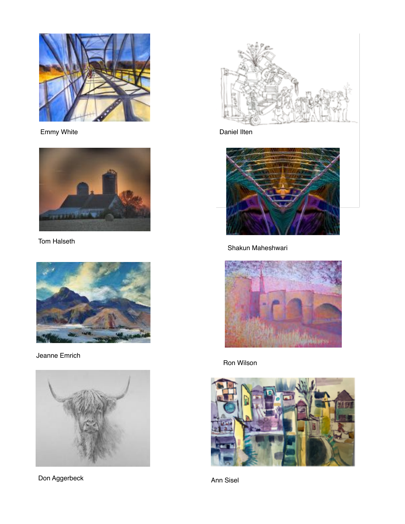

Emmy White **Daniel Ilten** 



Tom Halseth



Jeanne Emrich



Don Aggerbeck Ann Sisel





Shakun Maheshwari



Ron Wilson

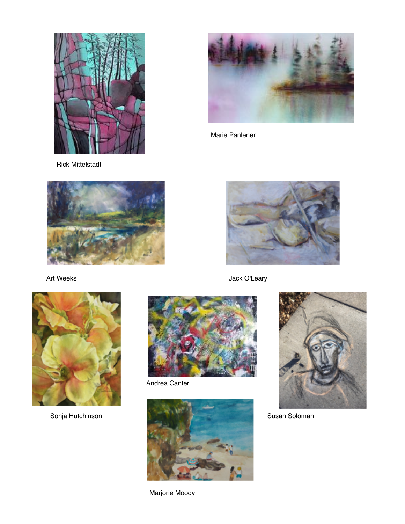

Rick Mittelstadt







Andrea Canter



Marjorie Moody



Marie Panlener



Art Weeks **Art Weeks Jack O'Leary**